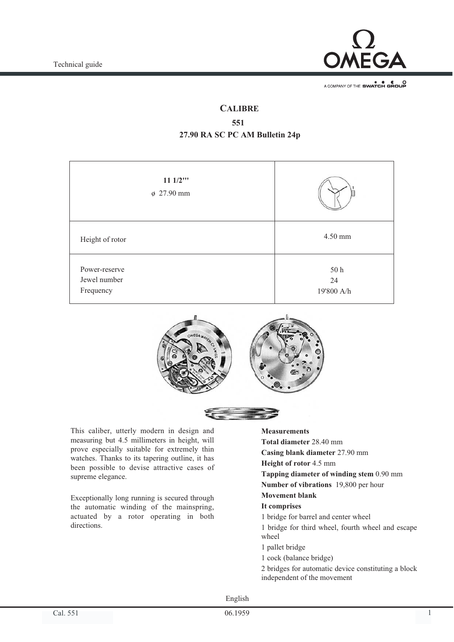

A COMPANY OF THE SWATCH GROUP

# **CALIBRE**

# **551 27.90 RA SC PC AM Bulletin 24p**

| $111/2$ <sup>**</sup><br>$\phi$ 27.90 mm   |                          |
|--------------------------------------------|--------------------------|
| Height of rotor                            | 4.50 mm                  |
| Power-reserve<br>Jewel number<br>Frequency | 50 h<br>24<br>19'800 A/h |



This caliber, utterly modern in design and measuring but 4.5 millimeters in height, will prove especially suitable for extremely thin watches. Thanks to its tapering outline, it has been possible to devise attractive cases of supreme elegance.

Exceptionally long running is secured through the automatic winding of the mainspring, actuated by a rotor operating in both directions.

## **Measurements**

- **Total diameter** 28.40 mm
- **Casing blank diameter** 27.90 mm
- **Height of rotor** 4.5 mm
- **Tapping diameter of winding stem** 0.90 mm
- **Number of vibrations** 19,800 per hour

# **Movement blank**

- **It comprises**
- 1 bridge for barrel and center wheel
- 1 bridge for third wheel, fourth wheel and escape wheel
- 1 pallet bridge
- 1 cock (balance bridge)
- 2 bridges for automatic device constituting a block independent of the movement

English

06.1959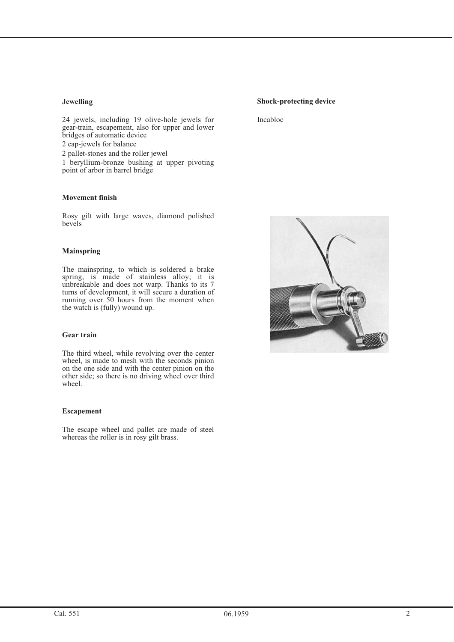## **Jewelling**

24 jewels, including 19 olive-hole jewels for gear-train, escapement, also for upper and lower bridges of automatic device 2 cap-jewels for balance 2 pallet-stones and the roller jewel 1 beryllium-bronze bushing at upper pivoting point of arbor in barrel bridge

## **Movement finish**

Rosy gilt with large waves, diamond polished bevels

#### **Mainspring**

The mainspring, to which is soldered a brake spring, is made of stainless alloy; it is unbreakable and does not warp. Thanks to its 7 turns of development, it will secure a duration of running over 50 hours from the moment when the watch is (fully) wound up.

#### **Gear train**

The third wheel, while revolving over the center wheel, is made to mesh with the seconds pinion on the one side and with the center pinion on the other side; so there is no driving wheel over third wheel.

#### **Escapement**

The escape wheel and pallet are made of steel whereas the roller is in rosy gilt brass.

### **Shock-protecting device**

Incabloc

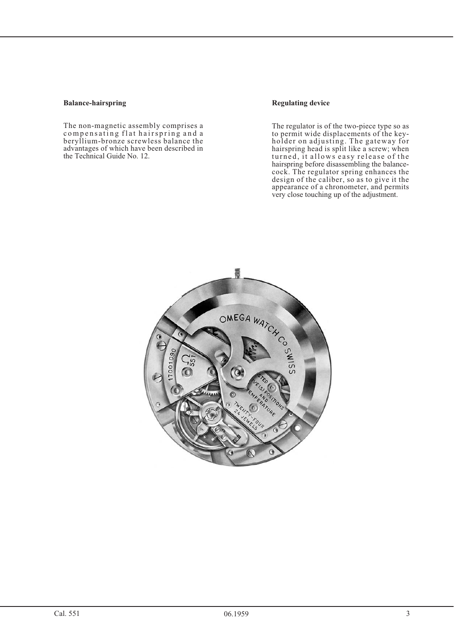#### **Balance-hairspring**

The non-magnetic assembly comprises a compensating flat hairspring and a beryllium-bronze screwless balance the advantages of which have been described in the Technical Guide No. 12.

## **Regulating device**

The regulator is of the two-piece type so as to permit wide displacements of the keyholder on adjusting. The gateway for hairspring head is split like a screw; when turned, it allows easy release of the hairspring before disassembling the balancecock. The regulator spring enhances the design of the caliber, so as to give it the appearance of a chronometer, and permits very close touching up of the adjustment.

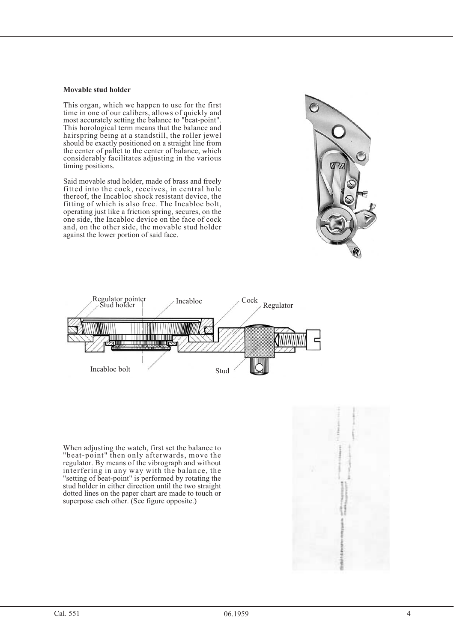#### **Movable stud holder**

This organ, which we happen to use for the first time in one of our calibers, allows of quickly and most accurately setting the balance to "beat-point". This horological term means that the balance and hairspring being at a standstill, the roller jewel should be exactly positioned on a straight line from the center of pallet to the center of balance, which considerably facilitates adjusting in the various timing positions.

Said movable stud holder, made of brass and freely fitted into the cock, receives, in central hole thereof, the Incabloc shock resistant device, the fitting of which is also free. The Incabloc bolt, operating just like a friction spring, secures, on the one side, the Incabloc device on the face of cock and, on the other side, the movable stud holder against the lower portion of said face.





When adjusting the watch, first set the balance to "beat-point" then only afterwards, move the regulator. By means of the vibrograph and without interfering in any way with the balance, the "setting of beat-point" is performed by rotating the stud holder in either direction until the two straight dotted lines on the paper chart are made to touch or superpose each other. (See figure opposite.)

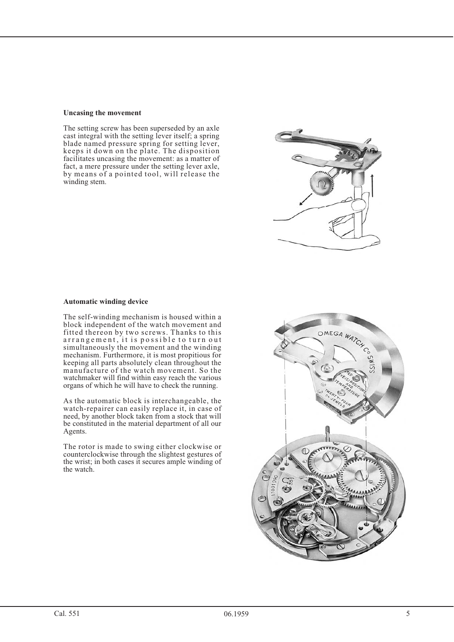#### **Uncasing the movement**

The setting screw has been superseded by an axle cast integral with the setting lever itself; a spring blade named pressure spring for setting lever, keeps it down on the plate. The disposition facilitates uncasing the movement: as a matter of fact, a mere pressure under the setting lever axle, by means of a pointed tool, will release the winding stem.

## **Automatic winding device**

The self-winding mechanism is housed within a block independent of the watch movement and fitted thereon by two screws. Thanks to this arrangement, it is possible to turn out simultaneously the movement and the winding mechanism. Furthermore, it is most propitious for keeping all parts absolutely clean throughout the manufacture of the watch movement. So the watchmaker will find within easy reach the various organs of which he will have to check the running.

As the automatic block is interchangeable, the watch-repairer can easily replace it, in case of need, by another block taken from a stock that will be constituted in the material department of all our Agents.

The rotor is made to swing either clockwise or counterclockwise through the slightest gestures of the wrist; in both cases it secures ample winding of the watch.

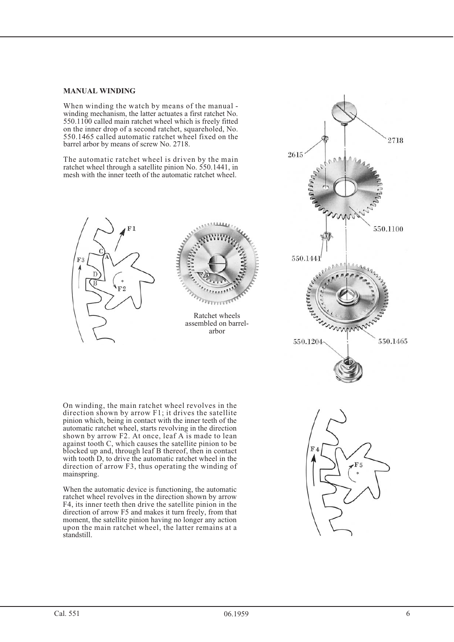## **MANUAL WINDING**

When winding the watch by means of the manual winding mechanism, the latter actuates a first ratchet No. 550.1100 called main ratchet wheel which is freely fitted on the inner drop of a second ratchet, squareholed, No. 550.1465 called automatic ratchet wheel fixed on the barrel arbor by means of screw No. 2718.

The automatic ratchet wheel is driven by the main ratchet wheel through a satellite pinion No. 550.1441, in mesh with the inner teeth of the automatic ratchet wheel.





On winding, the main ratchet wheel revolves in the direction shown by arrow F1; it drives the satellite pinion which, being in contact with the inner teeth of the automatic ratchet wheel, starts revolving in the direction shown by arrow F2. At once, leaf A is made to lean against tooth C, which causes the satellite pinion to be blocked up and, through leaf B thereof, then in contact with tooth D, to drive the automatic ratchet wheel in the direction of arrow F3, thus operating the winding of mainspring.

When the automatic device is functioning, the automatic ratchet wheel revolves in the direction shown by arrow F4, its inner teeth then drive the satellite pinion in the direction of arrow F5 and makes it turn freely, from that moment, the satellite pinion having no longer any action upon the main ratchet wheel, the latter remains at a standstill.

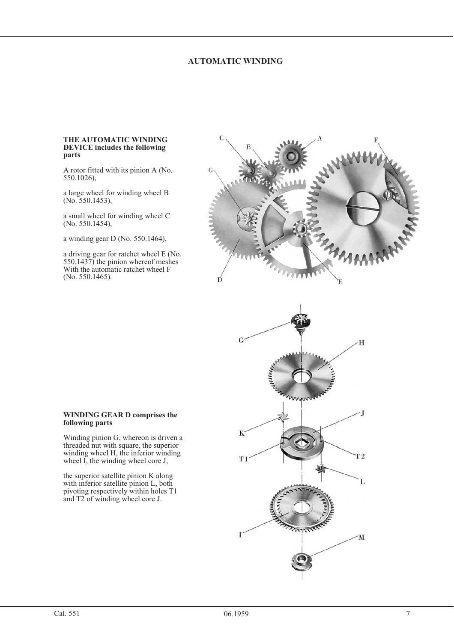## **AUTOMATIC WINDING**

#### **THE AUTOMATIC WINDING DEVICE includes the following parts**

A rotor fitted with its pinion A (No. 550.1026),

a large wheel for winding wheel B (No. 550.1453),

a small wheel for winding wheel C (No. 550.1454),

a winding gear D (No. 550.1464),

a driving gear for ratchet wheel E (No. 550.1437) the pinion whereof meshes With the automatic ratchet wheel F (No. 550.1465).





#### **WINDING GEAR D comprises the following parts**

Winding pinion G, whereon is driven a threaded nut with square, the superior winding wheel H, the inferior winding wheel  $\overrightarrow{I}$ , the winding wheel core J,

the superior satellite pinion K along with inferior satellite pinion L, both pivoting respectively within holes T1 and T2 of winding wheel core J.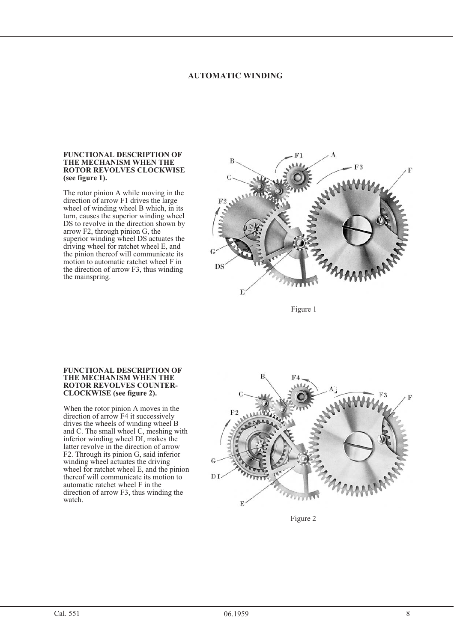#### **AUTOMATIC WINDING AUTOMATIC WINDING**

## **FUNCTIONAL DESCRIPTION OF ROTOR REVOLVES CLOCKWISE Solution Rotation Reviewer Revolved Report Report Report Report Report Report Report Report Report Report Report Report Report Report Report Report Report Report Report Report (see figure 1).**

The rotor pinion A while moving in the direction of arrow F1 drives the large wheel of winding wheel B which, in its turn, causes the superior winding wheel DS to revolve in the direction shown by arrow F2, through pinion G, the superior winding wheel DS actuates the driving wheel for ratchet wheel E, and the pinion thereof will communicate its motion to automatic ratchet wheel F in the direction of arrow F3, thus winding the mainspring.



Figure 1

## **FUNCTIONAL DESCRIPTION OF ROTOR REVOLVES COUNTER-CLOCKWISE** (see figure 2). **CLOCKWISE (see figure 2).**

When the rotor pinion A moves in the direction of arrow F4 it successively drives the wheels of winding wheel B and C. The small wheel C, meshing with inferior winding wheel DI, makes the latter revolve in the direction of arrow F2. Through its pinion G, said inferior winding wheel actuates the driving wheel for ratchet wheel E, and the pinion thereof will communicate its motion to automatic ratchet wheel F in the direction of arrow F3, thus winding the watch.



Figure 2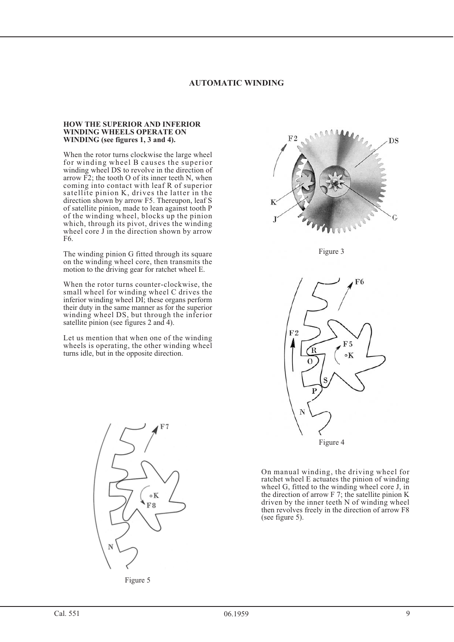## **AUTOMATIC WINDING**

#### **HOW THE SUPERIOR AND INFERIOR WINDING WHEELS OPERATE ON WINDING (see figures 1, 3 and 4).**

When the rotor turns clockwise the large wheel for winding wheel B causes the superior winding wheel DS to revolve in the direction of arrow  $\overline{F2}$ ; the tooth O of its inner teeth N, when coming into contact with leaf R of superior satellite pinion K, drives the latter in the direction shown by arrow F5. Thereupon, leaf S of satellite pinion, made to lean against tooth P of the winding wheel, blocks up the pinion which, through its pivot, drives the winding wheel core J in the direction shown by arrow F6.

The winding pinion G fitted through its square on the winding wheel core, then transmits the motion to the driving gear for ratchet wheel E.

When the rotor turns counter-clockwise, the small wheel for winding wheel C drives the inferior winding wheel DI; these organs perform their duty in the same manner as for the superior winding wheel DS, but through the inferior satellite pinion (see figures 2 and 4).

Let us mention that when one of the winding wheels is operating, the other winding wheel turns idle, but in the opposite direction.



Figure 5



Figure 3



On manual winding, the driving wheel for ratchet wheel E actuates the pinion of winding wheel G, fitted to the winding wheel core J, in the direction of arrow F 7; the satellite pinion K driven by the inner teeth N of winding wheel then revolves freely in the direction of arrow F8 (see figure 5).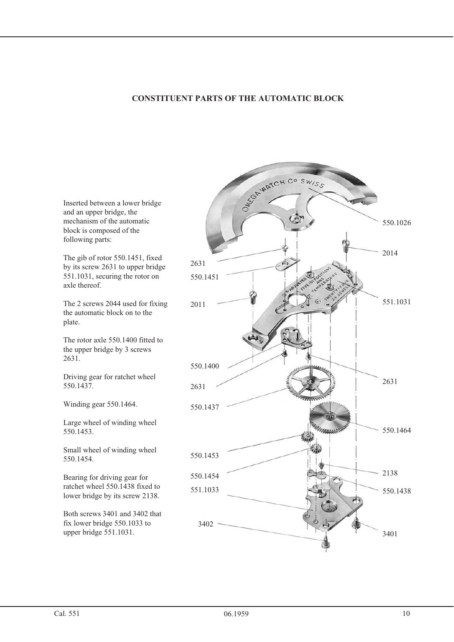# **CONSTITUENT PARTS OF THE AUTOMATIC BLOCK**



Inserted between a lower bridge and an upper bridge, the mechanism of the automatic block is composed of the following parts:

The gib of rotor 550.1451, fixed by its screw 2631 to upper bridge 551.1031, securing the rotor on axle thereof.

The 2 screws 2044 used for fixing the automatic block on to the plate.

The rotor axle 550.1400 fitted to the upper bridge by 3 screws 2631.

Driving gear for ratchet wheel 550.1437.

Winding gear 550.1464.

Large wheel of winding wheel 550.1453.

Small wheel of winding wheel 550.1454.

Bearing for driving gear for ratchet wheel 550.1438 fixed to lower bridge by its screw 2138.

Both screws 3401 and 3402 that fix lower bridge 550.1033 to upper bridge 551.1031.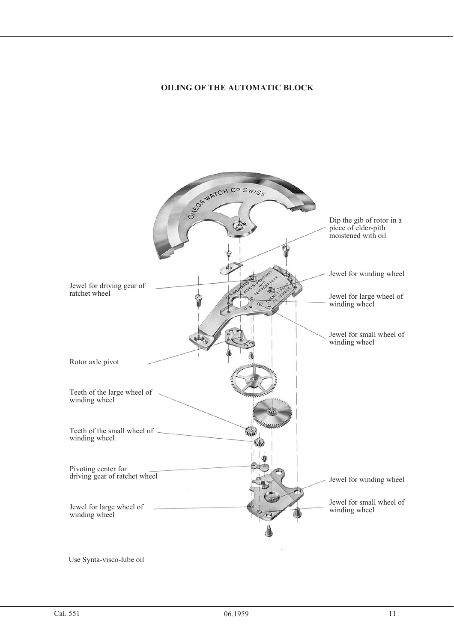# **OILING OF THE AUTOMATIC BLOCK**

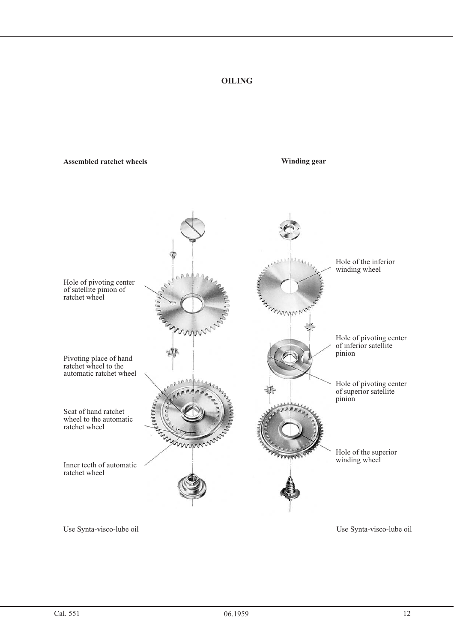# **OILING**

#### **Assembled ratchet wheels**

**Winding gear**

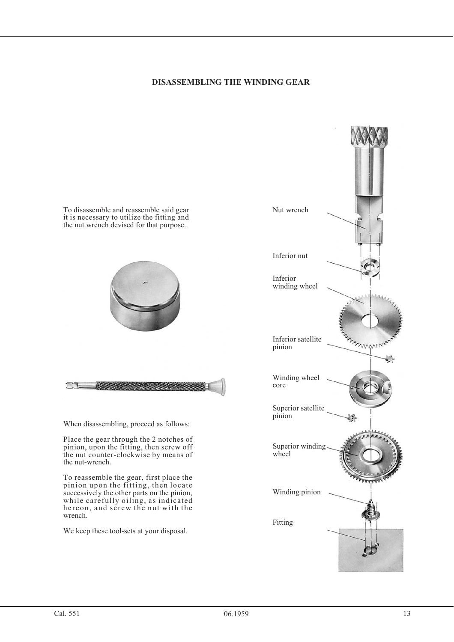## **DISASSEMBLING THE WINDING GEAR**



We keep these tool-sets at your disposal.